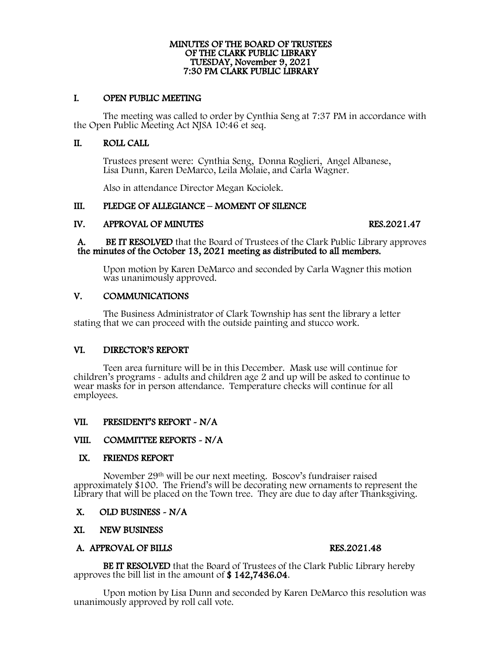# MINUTES OF THE BOARD OF TRUSTEES OF THE CLARK PUBLIC LIBRARY TUESDAY, November 9, 2021 7:30 PM CLARK PUBLIC LIBRARY

## I. OPEN PUBLIC MEETING

The meeting was called to order by Cynthia Seng at 7:37 PM in accordance with the Open Public Meeting Act NJSA 10:46 et seq.

## II. ROLL CALL

Trustees present were: Cynthia Seng, Donna Roglieri, Angel Albanese, Lisa Dunn, Karen DeMarco, Leila Molaie, and Carla Wagner.

Also in attendance Director Megan Kociolek.

### III. PLEDGE OF ALLEGIANCE – MOMENT OF SILENCE

IV. APPROVAL OF MINUTES<br>
A. BE IT RESOLVED that the Board of Trustees of the Clark Public Library approves<br>
the minutes of the October 13, 2021 meeting as distributed to all members.

Upon motion by Karen DeMarco and seconded by Carla Wagner this motion was unanimously approved.

### V. COMMUNICATIONS

 The Business Administrator of Clark Township has sent the library a letter stating that we can proceed with the outside painting and stucco work.

## VI. DIRECTOR'S REPORT

 Teen area furniture will be in this December. Mask use will continue for children's programs - adults and children age 2 and up will be asked to continue to wear masks for in person attendance. Temperature checks will continue for all employees.

## VII. VII. PRESIDENT'S REPORT - N/A VIII. COMMITTEE REPORTS - N/A

### IX. FRIENDS REPORT

 November 29th will be our next meeting. Boscov's fundraiser raised approximately \$100. The Friend's will be decorating new ornaments to represent the Library that will be placed on the Town tree. They are due to day after Thanksgiving.

### X. OLD BUSINESS - N/A

## XI. NEW BUSINESS<br>
A. APPROVAL OF BILLS RES.2021.48

BE IT RESOLVED that the Board of Trustees of the Clark Public Library hereby approves the bill list in the amount of \$ 142,7436.04.

Upon motion by Lisa Dunn and seconded by Karen DeMarco this resolution was unanimously approved by roll call vote.